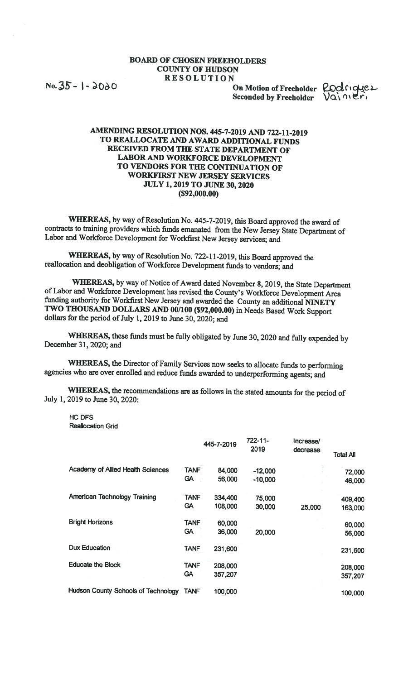## BOARD OF CHOSEN FREEHOLDERS COUNTY OF HUDSON RESOLUTION

 $\overline{35}$ -  $\overline{)$  -  $\overline{)00}$  On Motion of Freeholder Seconded by Freeholder  $\bigvee \overrightarrow{Q} \setminus \overrightarrow{O}$ 

Rodriggez

## AMENDING RESOLUTiON NOS. 445-7-2019 AND 722-11-2019 TO REALLOCATE AND AWARD ADDITIONAL FUNDS RECEIVED FROM THE STATE DEPARTMENT OF LABOR AND WORKFORCE DEVELOPMENT TO VENDORS FOR THE CONTINUATION OF WORKFIRST NEW JERSEY SERVICES JULY 1, 2019 TO JUNE 30, 2020 (\$92,000.00)

WHEREAS, by way of Resolution No. 445-7-2019, this Board approved the award of contracts to training providers which funds emanated from the New Jersey State Department of Labor and Workforce Development for Workfirst New Jersey services; and

WhEREAS, by way of Resolution No. 722-11-2019, this Board approved the reallocation and deobligation of Workforce Development funds to vendors; and

WHEREAS, by way of Notice of Award dated November 8, 2019, the State Department ofLabor and Workforce Development has revised the County's Workforce Development Area funding authority for Workfirst New Jersey and awarded the County an additional MNETY TWO THOUSAND DOLLARS AND 00/100 (\$92,000.00) in Needs Based Work Support dollars for the period of July 1, 2019 to June 30, 2020; and

WHEREAS, these funds must be fully obligated by June 30, <sup>2020</sup> and fully expended by December 31,2020; and

WhEREAS, the Director of Family Services now seeks to allocate funds to performing agencies who are over enrolled and reduce funds awarded to underperforming agents; and

WHEREAS, the recommendations are as follows in the stated amounts for the period of July 1, 2019 to June 30, 2020:

HC DFS Reallocation Grid

|                                            |             | 445-7-2019 | $722 - 11$<br>2019 | Increase/<br>decrease | <b>Total All</b> |
|--------------------------------------------|-------------|------------|--------------------|-----------------------|------------------|
| Academy of Allied Health Sciences          | <b>TANF</b> | 84,000     | $-12,000$          |                       | 72,000           |
|                                            | <b>GA</b>   | 56,000     | $-10,000$          |                       | 46,000           |
| <b>American Technology Training</b>        | <b>TANF</b> | 334,400    | 75,000             |                       | 409,400          |
|                                            | <b>GA</b>   | 108,000    | 30,000             | 25,000                | 163,000          |
| <b>Bright Horizons</b>                     | <b>TANF</b> | 60,000     |                    |                       | 60,000           |
|                                            | <b>GA</b>   | 36,000     | 20,000             |                       | 56,000           |
| Dux Education                              | <b>TANF</b> | 231,600    |                    |                       | 231,600          |
| <b>Educate the Block</b>                   | <b>TANF</b> | 208,000    |                    |                       | 208,000          |
|                                            | <b>GA</b>   | 357,207    |                    |                       | 357,207          |
| <b>Hudson County Schools of Technology</b> | TANF        | 100,000    |                    |                       | 100,000          |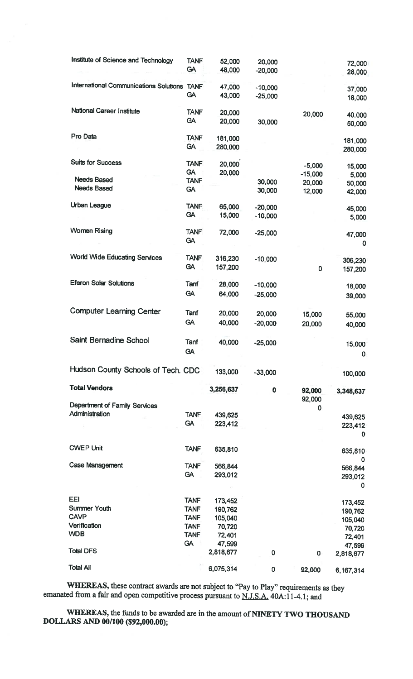| Institute of Science and Technology         | <b>TANF</b><br><b>GA</b> | 52,000<br>48,000    | 20,000<br>$-20,000$    |                     | 72,000<br>28,000    |
|---------------------------------------------|--------------------------|---------------------|------------------------|---------------------|---------------------|
| International Communications Solutions TANF | <b>GA</b>                | 47,000<br>43,000    | $-10,000$<br>$-25,000$ |                     | 37,000<br>18,000    |
| National Career Institute                   | <b>TANF</b><br><b>GA</b> | 20,000<br>20,000    | 30,000                 | 20,000              | 40,000<br>50,000    |
| Pro Data                                    | <b>TANF</b><br><b>GA</b> | 181,000<br>280,000  |                        |                     | 181,000<br>280,000  |
| <b>Suits for Success</b>                    | <b>TANF</b><br><b>GA</b> | 20,000<br>20,000    |                        | $-5,000$            | 15,000              |
| <b>Needs Based</b>                          | <b>TANF</b>              |                     | 30,000                 | $-15,000$<br>20,000 | 5,000<br>50,000     |
| <b>Needs Based</b>                          | <b>GA</b>                |                     | 30,000                 | 12,000              | 42,000              |
| <b>Urban League</b>                         | <b>TANF</b>              | 65,000              | $-20,000$              |                     | 45,000              |
|                                             | <b>GA</b>                | 15,000              | $-10,000$              |                     | 5,000               |
| <b>Women Rising</b>                         | <b>TANF</b><br><b>GA</b> | 72,000              | $-25,000$              |                     | 47,000<br>0         |
| <b>World Wide Educating Services</b>        | <b>TANF</b><br><b>GA</b> | 316,230<br>157,200  | $-10,000$              | 0                   | 306,230<br>157,200  |
| <b>Eferon Solar Solutions</b>               | Tanf                     | 28,000              | $-10,000$              |                     |                     |
|                                             | <b>GA</b>                | 64,000              | $-25,000$              |                     | 18,000<br>39,000    |
|                                             |                          |                     |                        |                     |                     |
| <b>Computer Learning Center</b>             | Tanf                     | 20,000              | 20,000                 | 15,000              | 55,000              |
|                                             | <b>GA</b>                | 40,000              | $-20,000$              | 20,000              | 40,000              |
| Saint Bernadine School                      | Tanf<br><b>GA</b>        | 40,000              | $-25,000$              |                     | 15,000<br>0         |
| Hudson County Schools of Tech. CDC          |                          | 133,000             | $-33,000$              |                     | 100,000             |
| <b>Total Vendors</b>                        |                          | 3,256,637           | $\pmb{0}$              | 92,000              | 3,348,637           |
| Department of Family Services               |                          |                     |                        | 92,000              |                     |
| Administration                              | <b>TANF</b>              | 439,625             |                        | 0                   | 439,625             |
|                                             | <b>GA</b>                | 223,412             |                        |                     | 223,412             |
|                                             |                          |                     |                        |                     | $\mathbf 0$         |
| <b>CWEP Unit</b>                            | <b>TANF</b>              | 635,810             |                        |                     | 635,810<br>0        |
| Case Management                             | <b>TANF</b>              | 566,844             |                        |                     | 566,844             |
|                                             | <b>GA</b>                | 293,012             |                        |                     | 293,012<br>0        |
| EEI                                         | <b>TANF</b>              | 173,452             |                        |                     | 173,452             |
| <b>Summer Youth</b>                         | <b>TANF</b>              | 190,762             |                        |                     | 190,762             |
| <b>CAVP</b>                                 | <b>TANF</b>              | 105,040             |                        |                     | 105,040             |
| Verification                                | <b>TANF</b>              | 70,720              |                        |                     | 70,720              |
| <b>WDB</b>                                  | <b>TANF</b><br><b>GA</b> | 72,401              |                        |                     | 72,401              |
| <b>Total DFS</b>                            |                          | 47,599<br>2,818,677 | 0                      | $\bf{0}$            | 47,599<br>2,818,677 |
| <b>Total All</b>                            |                          | 6,075,314           | 0                      | 92,000              | 6,167,314           |
|                                             |                          |                     |                        |                     |                     |

WHEREAS, these contract awards are not subject to "Pay to Play" requirements as they emanated from a fair and open competitive process pursuant to  $N.J.S.A.$  40A:11-4.1; and

WHEREAS, the funds to be awarded are in the amount of NINETY TWO THOUSAND DOLLARS AND 00/100 (\$92,000.00);